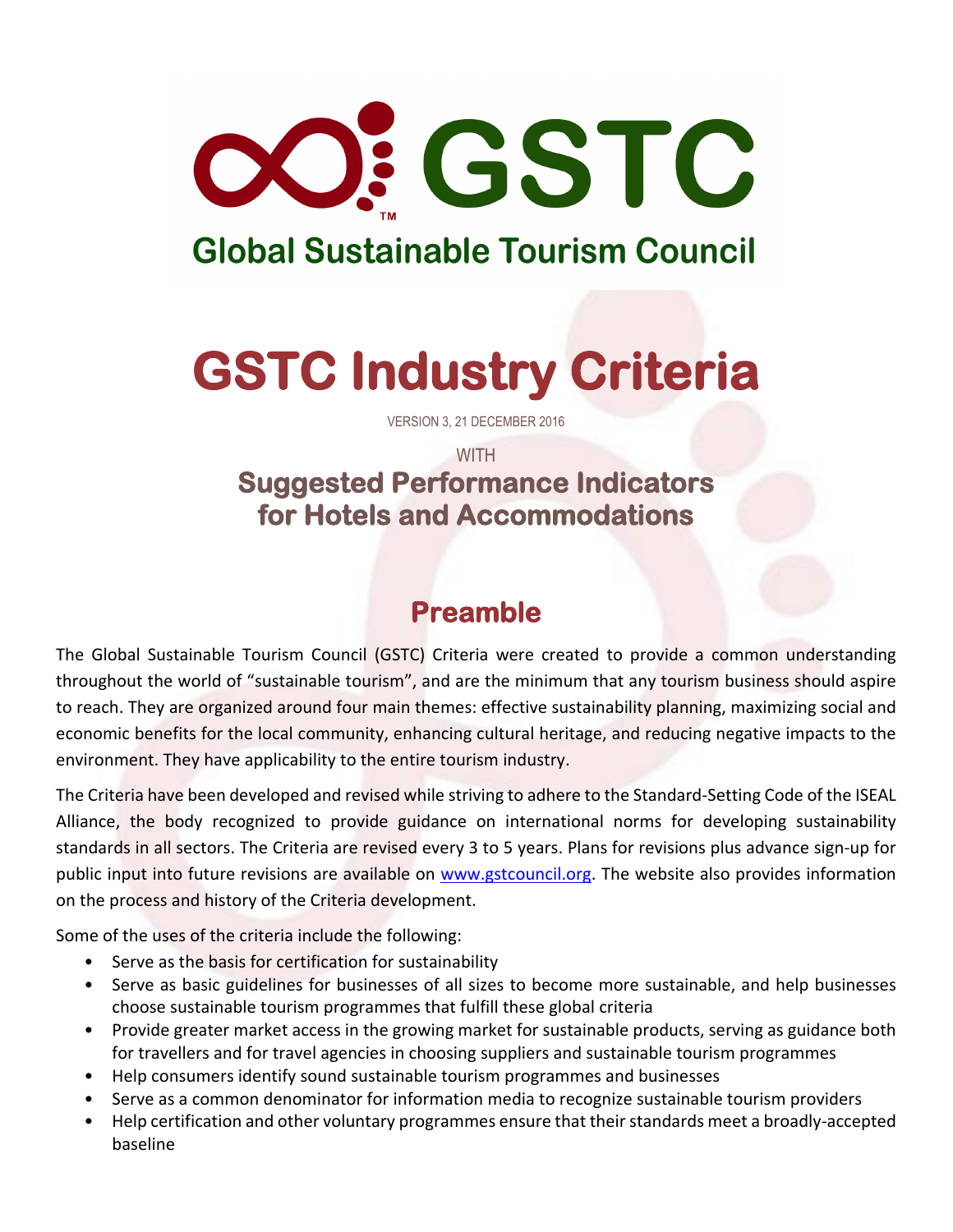

## **Global Sustainable Tourism Council**

# **GSTC Industry Criteria**

VERSION 3, 21 DECEMBER 2016

### **WITH Suggested Performance Indicators for Hotels and Accommodations**

### **Preamble**

The Global Sustainable Tourism Council (GSTC) Criteria were created to provide a common understanding throughout the world of "sustainable tourism", and are the minimum that any tourism business should aspire to reach. They are organized around four main themes: effective sustainability planning, maximizing social and economic benefits for the local community, enhancing cultural heritage, and reducing negative impacts to the environment. They have applicability to the entire tourism industry.

The Criteria have been developed and revised while striving to adhere to the Standard-Setting Code of the ISEAL Alliance, the body recognized to provide guidance on international norms for developing sustainability standards in all sectors. The Criteria are revised every 3 to 5 years. Plans for revisions plus advance sign-up for public input into future revisions are available on [www.gstcouncil.org.](http://www.gstcouncil.org/) The website also provides information on the process and history of the Criteria development.

Some of the uses of the criteria include the following:

- Serve as the basis for certification for sustainability
- Serve as basic guidelines for businesses of all sizes to become more sustainable, and help businesses choose sustainable tourism programmes that fulfill these global criteria
- Provide greater market access in the growing market for sustainable products, serving as guidance both for travellers and for travel agencies in choosing suppliers and sustainable tourism programmes
- Help consumers identify sound sustainable tourism programmes and businesses
- Serve as a common denominator for information media to recognize sustainable tourism providers
- Help certification and other voluntary programmes ensure that their standards meet a broadly-accepted baseline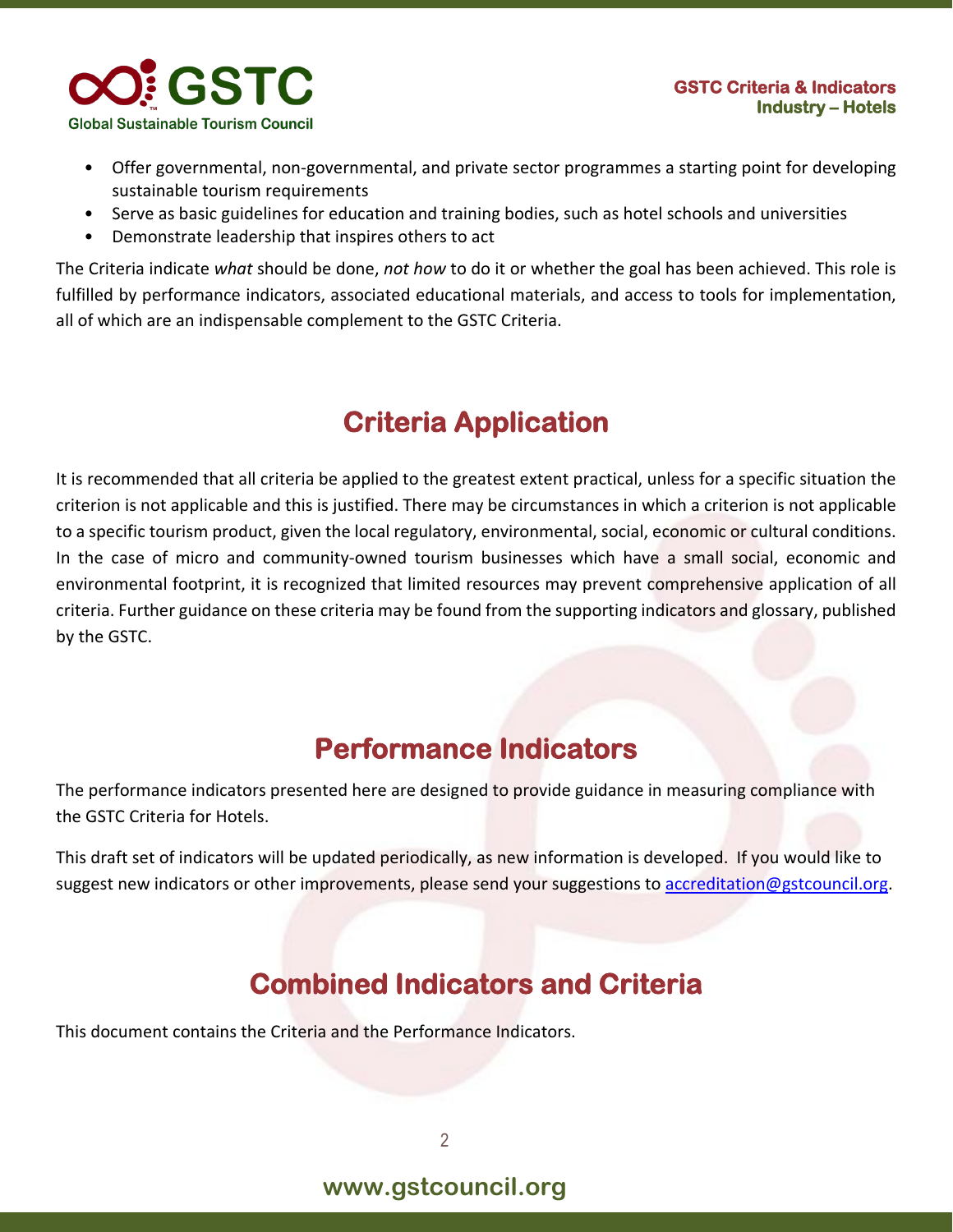

- Offer governmental, non-governmental, and private sector programmes a starting point for developing sustainable tourism requirements
- Serve as basic guidelines for education and training bodies, such as hotel schools and universities
- Demonstrate leadership that inspires others to act

The Criteria indicate *what* should be done, *not how* to do it or whether the goal has been achieved. This role is fulfilled by performance indicators, associated educational materials, and access to tools for implementation, all of which are an indispensable complement to the GSTC Criteria.

### **Criteria Application**

It is recommended that all criteria be applied to the greatest extent practical, unless for a specific situation the criterion is not applicable and this is justified. There may be circumstances in which a criterion is not applicable to a specific tourism product, given the local regulatory, environmental, social, economic or cultural conditions. In the case of micro and community-owned tourism businesses which have a small social, economic and environmental footprint, it is recognized that limited resources may prevent comprehensive application of all criteria. Further guidance on these criteria may be found from the supporting indicators and glossary, published by the GSTC.

### **Performance Indicators**

The performance indicators presented here are designed to provide guidance in measuring compliance with the GSTC Criteria for Hotels.

This draft set of indicators will be updated periodically, as new information is developed. If you would like to suggest new indicators or other improvements, please send your suggestions to [accreditation@gstcouncil.org.](mailto:accreditation@gstcouncil.org)

### **Combined Indicators and Criteria**

This document contains the Criteria and the Performance Indicators.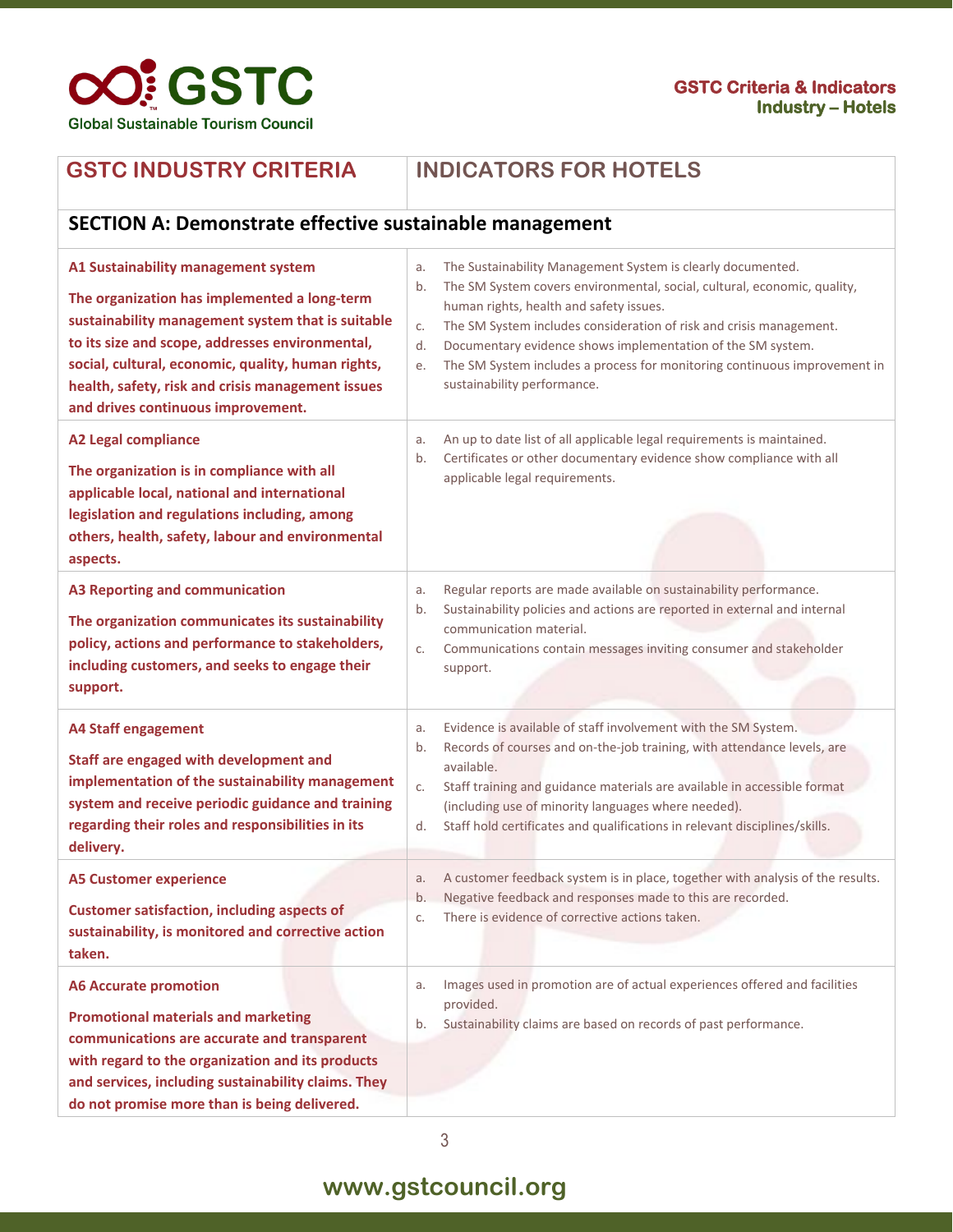

#### **GSTC INDUSTRY CRITERIA INDICATORS FOR HOTELS**

**SECTION A: Demonstrate effective sustainable management**

| A1 Sustainability management system<br>The organization has implemented a long-term<br>sustainability management system that is suitable<br>to its size and scope, addresses environmental,<br>social, cultural, economic, quality, human rights,<br>health, safety, risk and crisis management issues<br>and drives continuous improvement. | The Sustainability Management System is clearly documented.<br>a.<br>The SM System covers environmental, social, cultural, economic, quality,<br>b.<br>human rights, health and safety issues.<br>The SM System includes consideration of risk and crisis management.<br>C.<br>Documentary evidence shows implementation of the SM system.<br>d.<br>The SM System includes a process for monitoring continuous improvement in<br>е.<br>sustainability performance.                       |
|----------------------------------------------------------------------------------------------------------------------------------------------------------------------------------------------------------------------------------------------------------------------------------------------------------------------------------------------|------------------------------------------------------------------------------------------------------------------------------------------------------------------------------------------------------------------------------------------------------------------------------------------------------------------------------------------------------------------------------------------------------------------------------------------------------------------------------------------|
| <b>A2 Legal compliance</b><br>The organization is in compliance with all<br>applicable local, national and international<br>legislation and regulations including, among<br>others, health, safety, labour and environmental<br>aspects.                                                                                                     | An up to date list of all applicable legal requirements is maintained.<br>a.<br>Certificates or other documentary evidence show compliance with all<br>b.<br>applicable legal requirements.                                                                                                                                                                                                                                                                                              |
| <b>A3 Reporting and communication</b><br>The organization communicates its sustainability<br>policy, actions and performance to stakeholders,<br>including customers, and seeks to engage their<br>support.                                                                                                                                  | Regular reports are made available on sustainability performance.<br>a.<br>Sustainability policies and actions are reported in external and internal<br>b.<br>communication material.<br>Communications contain messages inviting consumer and stakeholder<br>C.<br>support.                                                                                                                                                                                                             |
| <b>A4 Staff engagement</b><br>Staff are engaged with development and<br>implementation of the sustainability management<br>system and receive periodic guidance and training<br>regarding their roles and responsibilities in its<br>delivery.<br><b>A5 Customer experience</b>                                                              | Evidence is available of staff involvement with the SM System.<br>a.<br>Records of courses and on-the-job training, with attendance levels, are<br>b.<br>available.<br>Staff training and guidance materials are available in accessible format<br>C.<br>(including use of minority languages where needed).<br>Staff hold certificates and qualifications in relevant disciplines/skills.<br>d.<br>A customer feedback system is in place, together with analysis of the results.<br>a. |
| <b>Customer satisfaction, including aspects of</b><br>sustainability, is monitored and corrective action<br>taken.                                                                                                                                                                                                                           | Negative feedback and responses made to this are recorded.<br>b.<br>There is evidence of corrective actions taken.<br>C.                                                                                                                                                                                                                                                                                                                                                                 |
| <b>A6 Accurate promotion</b><br><b>Promotional materials and marketing</b><br>communications are accurate and transparent<br>with regard to the organization and its products<br>and services, including sustainability claims. They<br>do not promise more than is being delivered.                                                         | Images used in promotion are of actual experiences offered and facilities<br>a.<br>provided.<br>Sustainability claims are based on records of past performance.<br>b.                                                                                                                                                                                                                                                                                                                    |

#### 3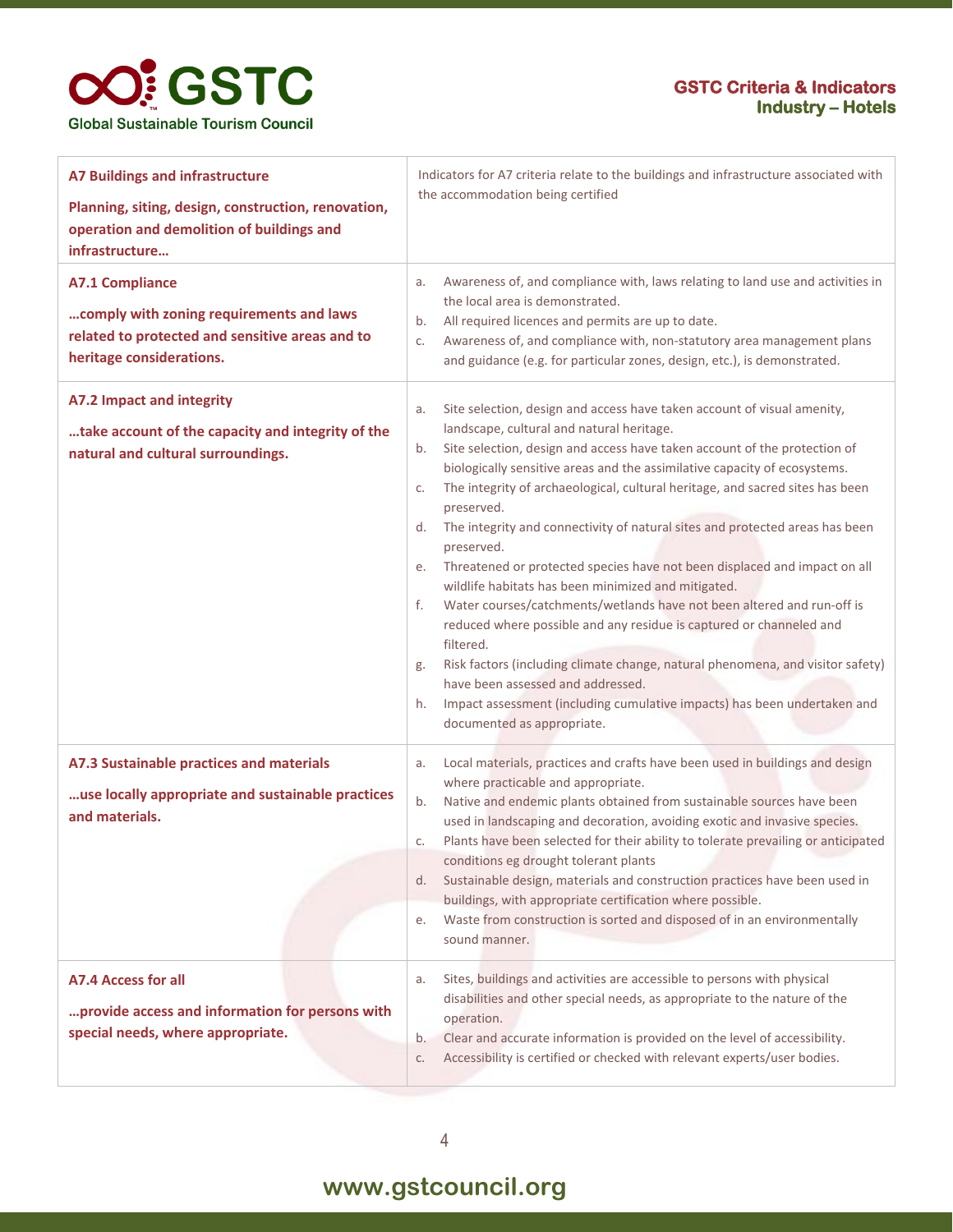### **OO!** GSTC **Global Sustainable Tourism Council**

#### **GSTC Criteria & Indicators Industry – Hotels**

| <b>A7 Buildings and infrastructure</b><br>Planning, siting, design, construction, renovation,<br>operation and demolition of buildings and                          | Indicators for A7 criteria relate to the buildings and infrastructure associated with<br>the accommodation being certified                                                                                                                                                                                                                                                                                                                                                                                                                                                                                                                                                                                                                                                                                                                                                                                                                                                                                                                                     |  |
|---------------------------------------------------------------------------------------------------------------------------------------------------------------------|----------------------------------------------------------------------------------------------------------------------------------------------------------------------------------------------------------------------------------------------------------------------------------------------------------------------------------------------------------------------------------------------------------------------------------------------------------------------------------------------------------------------------------------------------------------------------------------------------------------------------------------------------------------------------------------------------------------------------------------------------------------------------------------------------------------------------------------------------------------------------------------------------------------------------------------------------------------------------------------------------------------------------------------------------------------|--|
| infrastructure<br><b>A7.1 Compliance</b><br>comply with zoning requirements and laws<br>related to protected and sensitive areas and to<br>heritage considerations. | Awareness of, and compliance with, laws relating to land use and activities in<br>a.<br>the local area is demonstrated.<br>All required licences and permits are up to date.<br>b.<br>Awareness of, and compliance with, non-statutory area management plans<br>C.<br>and guidance (e.g. for particular zones, design, etc.), is demonstrated.                                                                                                                                                                                                                                                                                                                                                                                                                                                                                                                                                                                                                                                                                                                 |  |
| A7.2 Impact and integrity<br>take account of the capacity and integrity of the<br>natural and cultural surroundings.                                                | Site selection, design and access have taken account of visual amenity,<br>a.<br>landscape, cultural and natural heritage.<br>Site selection, design and access have taken account of the protection of<br>b.<br>biologically sensitive areas and the assimilative capacity of ecosystems.<br>The integrity of archaeological, cultural heritage, and sacred sites has been<br>c.<br>preserved.<br>The integrity and connectivity of natural sites and protected areas has been<br>d.<br>preserved.<br>Threatened or protected species have not been displaced and impact on all<br>е.<br>wildlife habitats has been minimized and mitigated.<br>Water courses/catchments/wetlands have not been altered and run-off is<br>f.<br>reduced where possible and any residue is captured or channeled and<br>filtered.<br>Risk factors (including climate change, natural phenomena, and visitor safety)<br>g.<br>have been assessed and addressed.<br>Impact assessment (including cumulative impacts) has been undertaken and<br>h.<br>documented as appropriate. |  |
| A7.3 Sustainable practices and materials<br>use locally appropriate and sustainable practices<br>and materials.                                                     | Local materials, practices and crafts have been used in buildings and design<br>a.<br>where practicable and appropriate.<br>Native and endemic plants obtained from sustainable sources have been<br>b.<br>used in landscaping and decoration, avoiding exotic and invasive species.<br>Plants have been selected for their ability to tolerate prevailing or anticipated<br>c.<br>conditions eg drought tolerant plants<br>Sustainable design, materials and construction practices have been used in<br>d.<br>buildings, with appropriate certification where possible.<br>Waste from construction is sorted and disposed of in an environmentally<br>е.<br>sound manner.                                                                                                                                                                                                                                                                                                                                                                                    |  |
| A7.4 Access for all<br>provide access and information for persons with<br>special needs, where appropriate.                                                         | Sites, buildings and activities are accessible to persons with physical<br>a.<br>disabilities and other special needs, as appropriate to the nature of the<br>operation.<br>Clear and accurate information is provided on the level of accessibility.<br>b.<br>Accessibility is certified or checked with relevant experts/user bodies.<br>C.                                                                                                                                                                                                                                                                                                                                                                                                                                                                                                                                                                                                                                                                                                                  |  |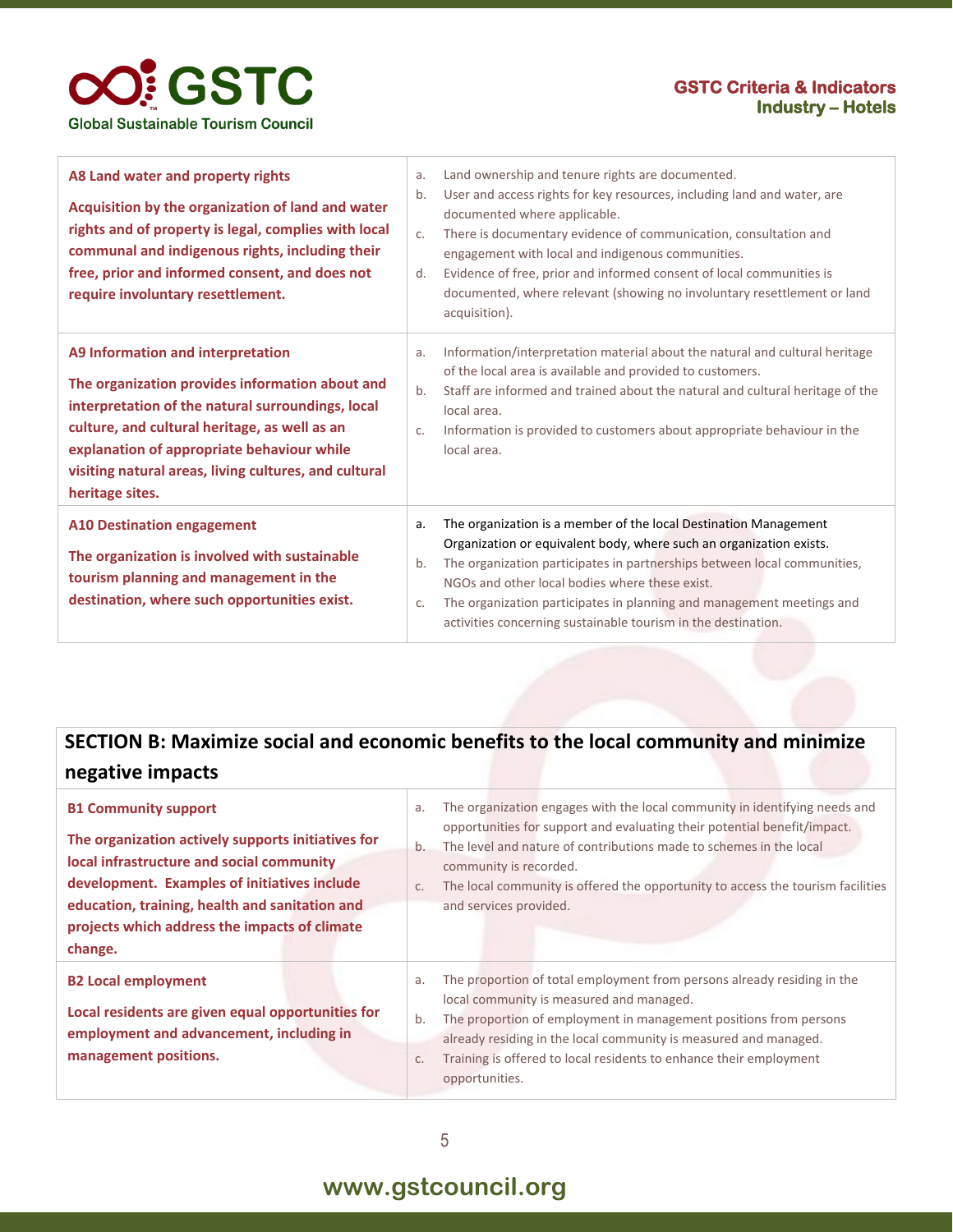

| A8 Land water and property rights<br>Acquisition by the organization of land and water<br>rights and of property is legal, complies with local<br>communal and indigenous rights, including their<br>free, prior and informed consent, and does not<br>require involuntary resettlement.                             | a.<br>b.<br>C <sub>1</sub><br>d. | Land ownership and tenure rights are documented.<br>User and access rights for key resources, including land and water, are<br>documented where applicable.<br>There is documentary evidence of communication, consultation and<br>engagement with local and indigenous communities.<br>Evidence of free, prior and informed consent of local communities is<br>documented, where relevant (showing no involuntary resettlement or land<br>acquisition). |
|----------------------------------------------------------------------------------------------------------------------------------------------------------------------------------------------------------------------------------------------------------------------------------------------------------------------|----------------------------------|----------------------------------------------------------------------------------------------------------------------------------------------------------------------------------------------------------------------------------------------------------------------------------------------------------------------------------------------------------------------------------------------------------------------------------------------------------|
| A9 Information and interpretation<br>The organization provides information about and<br>interpretation of the natural surroundings, local<br>culture, and cultural heritage, as well as an<br>explanation of appropriate behaviour while<br>visiting natural areas, living cultures, and cultural<br>heritage sites. | a.<br>b.<br>$C_{\star}$          | Information/interpretation material about the natural and cultural heritage<br>of the local area is available and provided to customers.<br>Staff are informed and trained about the natural and cultural heritage of the<br>local area.<br>Information is provided to customers about appropriate behaviour in the<br>local area.                                                                                                                       |
| <b>A10 Destination engagement</b><br>The organization is involved with sustainable<br>tourism planning and management in the<br>destination, where such opportunities exist.                                                                                                                                         | a.<br>b.<br>$C_{\star}$          | The organization is a member of the local Destination Management<br>Organization or equivalent body, where such an organization exists.<br>The organization participates in partnerships between local communities,<br>NGOs and other local bodies where these exist.<br>The organization participates in planning and management meetings and<br>activities concerning sustainable tourism in the destination.                                          |

### **SECTION B: Maximize social and economic benefits to the local community and minimize negative impacts**

| <b>B1 Community support</b><br>The organization actively supports initiatives for<br>local infrastructure and social community<br>development. Examples of initiatives include<br>education, training, health and sanitation and<br>projects which address the impacts of climate<br>change. | a.<br>b.<br>C. | The organization engages with the local community in identifying needs and<br>opportunities for support and evaluating their potential benefit/impact.<br>The level and nature of contributions made to schemes in the local<br>community is recorded.<br>The local community is offered the opportunity to access the tourism facilities<br>and services provided. |
|----------------------------------------------------------------------------------------------------------------------------------------------------------------------------------------------------------------------------------------------------------------------------------------------|----------------|---------------------------------------------------------------------------------------------------------------------------------------------------------------------------------------------------------------------------------------------------------------------------------------------------------------------------------------------------------------------|
| <b>B2 Local employment</b><br>Local residents are given equal opportunities for<br>employment and advancement, including in<br>management positions.                                                                                                                                         | a.<br>b.<br>C. | The proportion of total employment from persons already residing in the<br>local community is measured and managed.<br>The proportion of employment in management positions from persons<br>already residing in the local community is measured and managed.<br>Training is offered to local residents to enhance their employment<br>opportunities.                |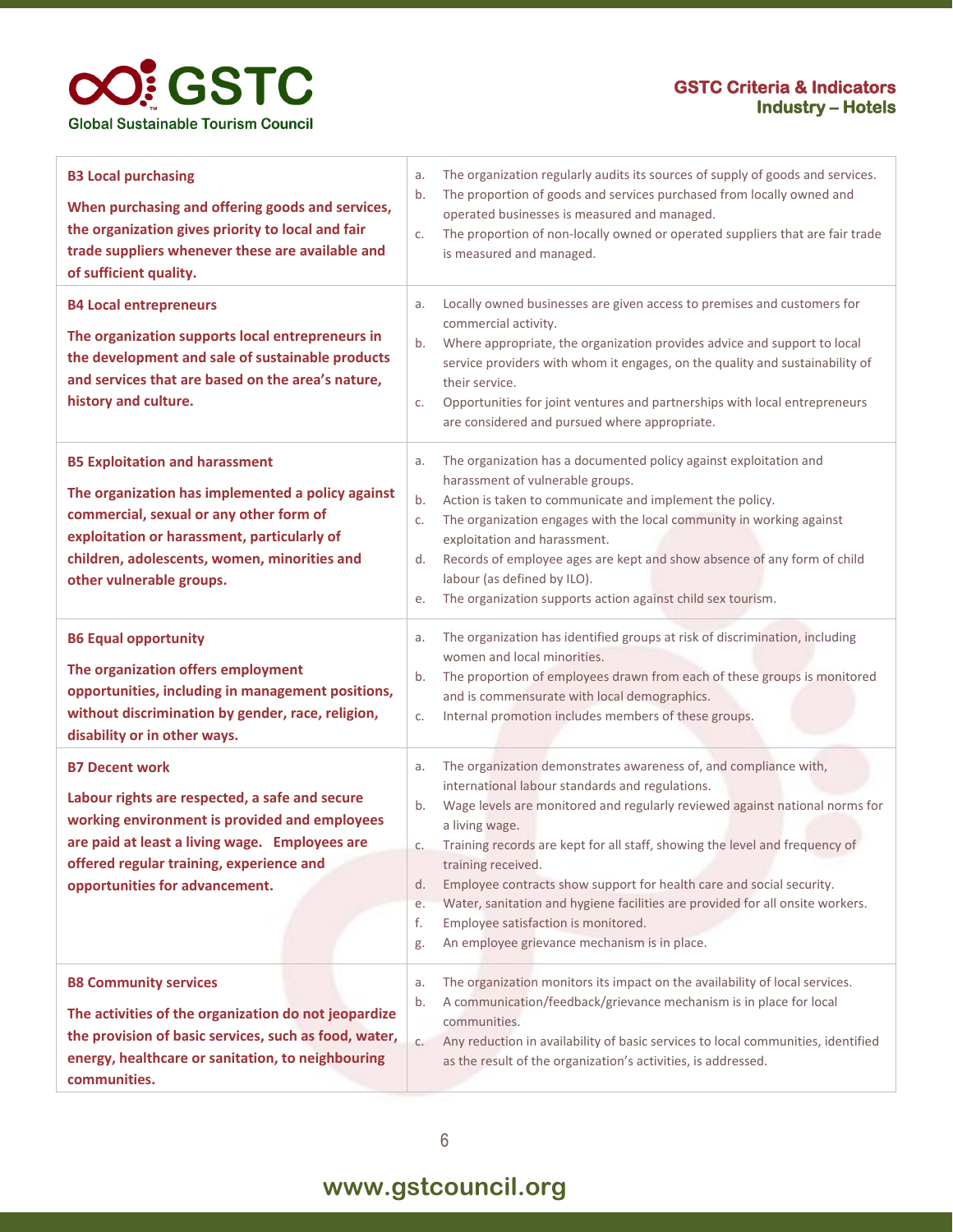

| <b>B3 Local purchasing</b><br>When purchasing and offering goods and services,<br>the organization gives priority to local and fair<br>trade suppliers whenever these are available and<br>of sufficient quality.                                                | The organization regularly audits its sources of supply of goods and services.<br>a.<br>The proportion of goods and services purchased from locally owned and<br>b.<br>operated businesses is measured and managed.<br>The proportion of non-locally owned or operated suppliers that are fair trade<br>C.<br>is measured and managed.                                                                                                                                                                                                                                                                              |
|------------------------------------------------------------------------------------------------------------------------------------------------------------------------------------------------------------------------------------------------------------------|---------------------------------------------------------------------------------------------------------------------------------------------------------------------------------------------------------------------------------------------------------------------------------------------------------------------------------------------------------------------------------------------------------------------------------------------------------------------------------------------------------------------------------------------------------------------------------------------------------------------|
| <b>B4 Local entrepreneurs</b><br>The organization supports local entrepreneurs in<br>the development and sale of sustainable products<br>and services that are based on the area's nature,<br>history and culture.                                               | Locally owned businesses are given access to premises and customers for<br>a.<br>commercial activity.<br>Where appropriate, the organization provides advice and support to local<br>b.<br>service providers with whom it engages, on the quality and sustainability of<br>their service.<br>Opportunities for joint ventures and partnerships with local entrepreneurs<br>C.<br>are considered and pursued where appropriate.                                                                                                                                                                                      |
| <b>B5 Exploitation and harassment</b><br>The organization has implemented a policy against<br>commercial, sexual or any other form of<br>exploitation or harassment, particularly of<br>children, adolescents, women, minorities and<br>other vulnerable groups. | The organization has a documented policy against exploitation and<br>a.<br>harassment of vulnerable groups.<br>Action is taken to communicate and implement the policy.<br>b.<br>The organization engages with the local community in working against<br>C.<br>exploitation and harassment.<br>Records of employee ages are kept and show absence of any form of child<br>d.<br>labour (as defined by ILO).<br>The organization supports action against child sex tourism.<br>е.                                                                                                                                    |
| <b>B6 Equal opportunity</b><br>The organization offers employment<br>opportunities, including in management positions,<br>without discrimination by gender, race, religion,<br>disability or in other ways.                                                      | The organization has identified groups at risk of discrimination, including<br>a.<br>women and local minorities.<br>The proportion of employees drawn from each of these groups is monitored<br>b.<br>and is commensurate with local demographics.<br>Internal promotion includes members of these groups.<br>C.                                                                                                                                                                                                                                                                                                    |
| <b>B7 Decent work</b><br>Labour rights are respected, a safe and secure<br>working environment is provided and employees<br>are paid at least a living wage. Employees are<br>offered regular training, experience and<br>opportunities for advancement.         | The organization demonstrates awareness of, and compliance with,<br>a.<br>international labour standards and regulations.<br>Wage levels are monitored and regularly reviewed against national norms for<br>b.<br>a living wage.<br>Training records are kept for all staff, showing the level and frequency of<br>С.<br>training received.<br>Employee contracts show support for health care and social security.<br>d.<br>Water, sanitation and hygiene facilities are provided for all onsite workers.<br>e.<br>f.<br>Employee satisfaction is monitored.<br>An employee grievance mechanism is in place.<br>g. |
| <b>B8 Community services</b><br>The activities of the organization do not jeopardize<br>the provision of basic services, such as food, water,<br>energy, healthcare or sanitation, to neighbouring<br>communities.                                               | The organization monitors its impact on the availability of local services.<br>a.<br>A communication/feedback/grievance mechanism is in place for local<br>b.<br>communities.<br>Any reduction in availability of basic services to local communities, identified<br>C.<br>as the result of the organization's activities, is addressed.                                                                                                                                                                                                                                                                            |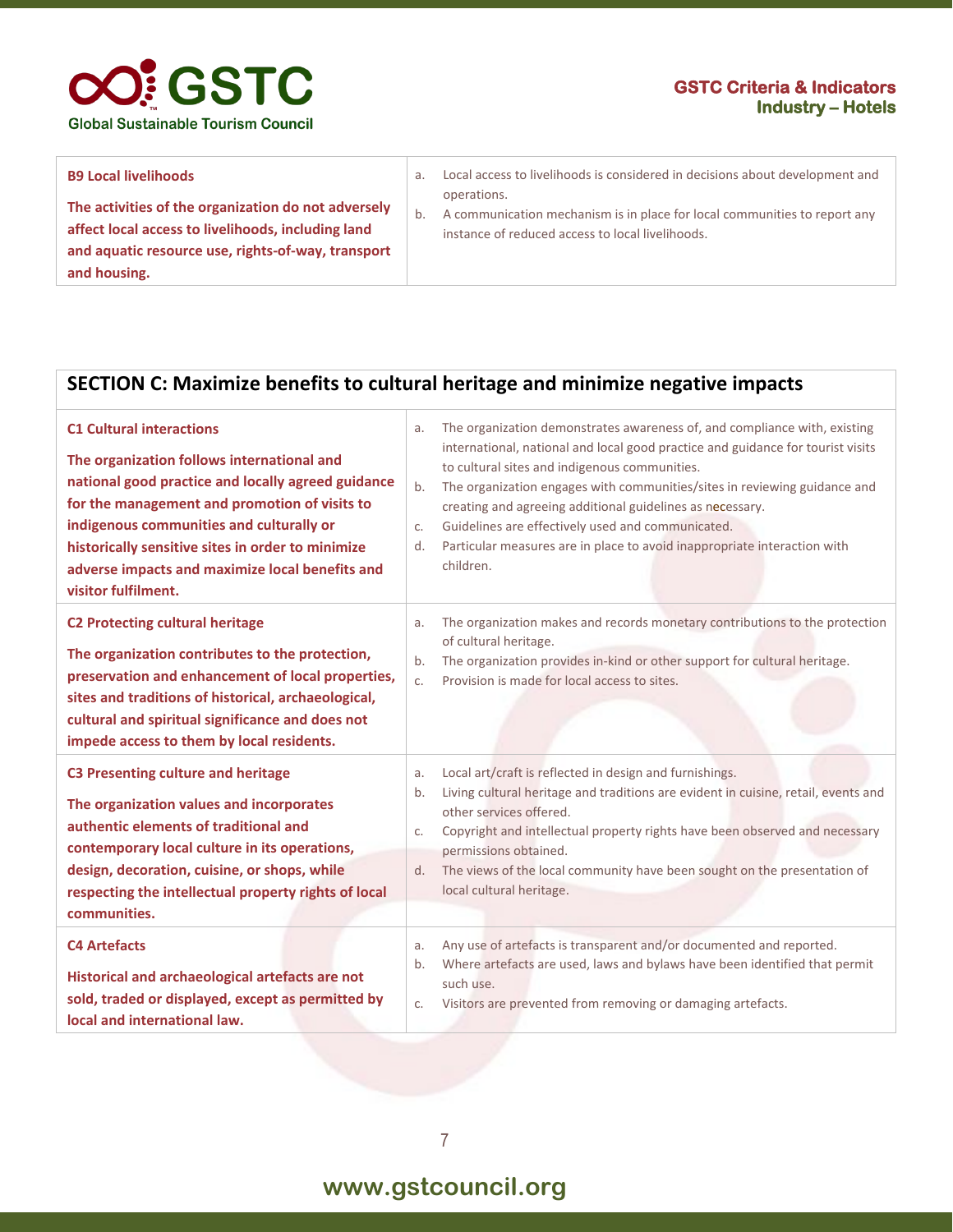

| <b>B9 Local livelihoods</b>                                                                                                                                                     | a. | Local access to livelihoods is considered in decisions about development and                                                                 |
|---------------------------------------------------------------------------------------------------------------------------------------------------------------------------------|----|----------------------------------------------------------------------------------------------------------------------------------------------|
| The activities of the organization do not adversely<br>affect local access to livelihoods, including land<br>and aquatic resource use, rights-of-way, transport<br>and housing. |    | operations.<br>A communication mechanism is in place for local communities to report any<br>instance of reduced access to local livelihoods. |

#### **SECTION C: Maximize benefits to cultural heritage and minimize negative impacts**

| <b>C1 Cultural interactions</b><br>The organization follows international and<br>national good practice and locally agreed guidance<br>for the management and promotion of visits to<br>indigenous communities and culturally or<br>historically sensitive sites in order to minimize<br>adverse impacts and maximize local benefits and<br>visitor fulfilment. | a.<br>b.<br>$C_{\star}$<br>d.       | The organization demonstrates awareness of, and compliance with, existing<br>international, national and local good practice and guidance for tourist visits<br>to cultural sites and indigenous communities.<br>The organization engages with communities/sites in reviewing guidance and<br>creating and agreeing additional guidelines as necessary.<br>Guidelines are effectively used and communicated.<br>Particular measures are in place to avoid inappropriate interaction with<br>children. |
|-----------------------------------------------------------------------------------------------------------------------------------------------------------------------------------------------------------------------------------------------------------------------------------------------------------------------------------------------------------------|-------------------------------------|-------------------------------------------------------------------------------------------------------------------------------------------------------------------------------------------------------------------------------------------------------------------------------------------------------------------------------------------------------------------------------------------------------------------------------------------------------------------------------------------------------|
| <b>C2 Protecting cultural heritage</b><br>The organization contributes to the protection,<br>preservation and enhancement of local properties,<br>sites and traditions of historical, archaeological,<br>cultural and spiritual significance and does not<br>impede access to them by local residents.                                                          | a.<br>b <sub>1</sub><br>$C_{\star}$ | The organization makes and records monetary contributions to the protection<br>of cultural heritage.<br>The organization provides in-kind or other support for cultural heritage.<br>Provision is made for local access to sites.                                                                                                                                                                                                                                                                     |
| <b>C3 Presenting culture and heritage</b><br>The organization values and incorporates<br>authentic elements of traditional and<br>contemporary local culture in its operations,<br>design, decoration, cuisine, or shops, while<br>respecting the intellectual property rights of local<br>communities.                                                         | a.<br>b.<br>C.<br>d.                | Local art/craft is reflected in design and furnishings.<br>Living cultural heritage and traditions are evident in cuisine, retail, events and<br>other services offered.<br>Copyright and intellectual property rights have been observed and necessary<br>permissions obtained.<br>The views of the local community have been sought on the presentation of<br>local cultural heritage.                                                                                                              |
| <b>C4 Artefacts</b><br>Historical and archaeological artefacts are not<br>sold, traded or displayed, except as permitted by<br>local and international law.                                                                                                                                                                                                     | a.<br>b.<br>C.                      | Any use of artefacts is transparent and/or documented and reported.<br>Where artefacts are used, laws and bylaws have been identified that permit<br>such use.<br>Visitors are prevented from removing or damaging artefacts.                                                                                                                                                                                                                                                                         |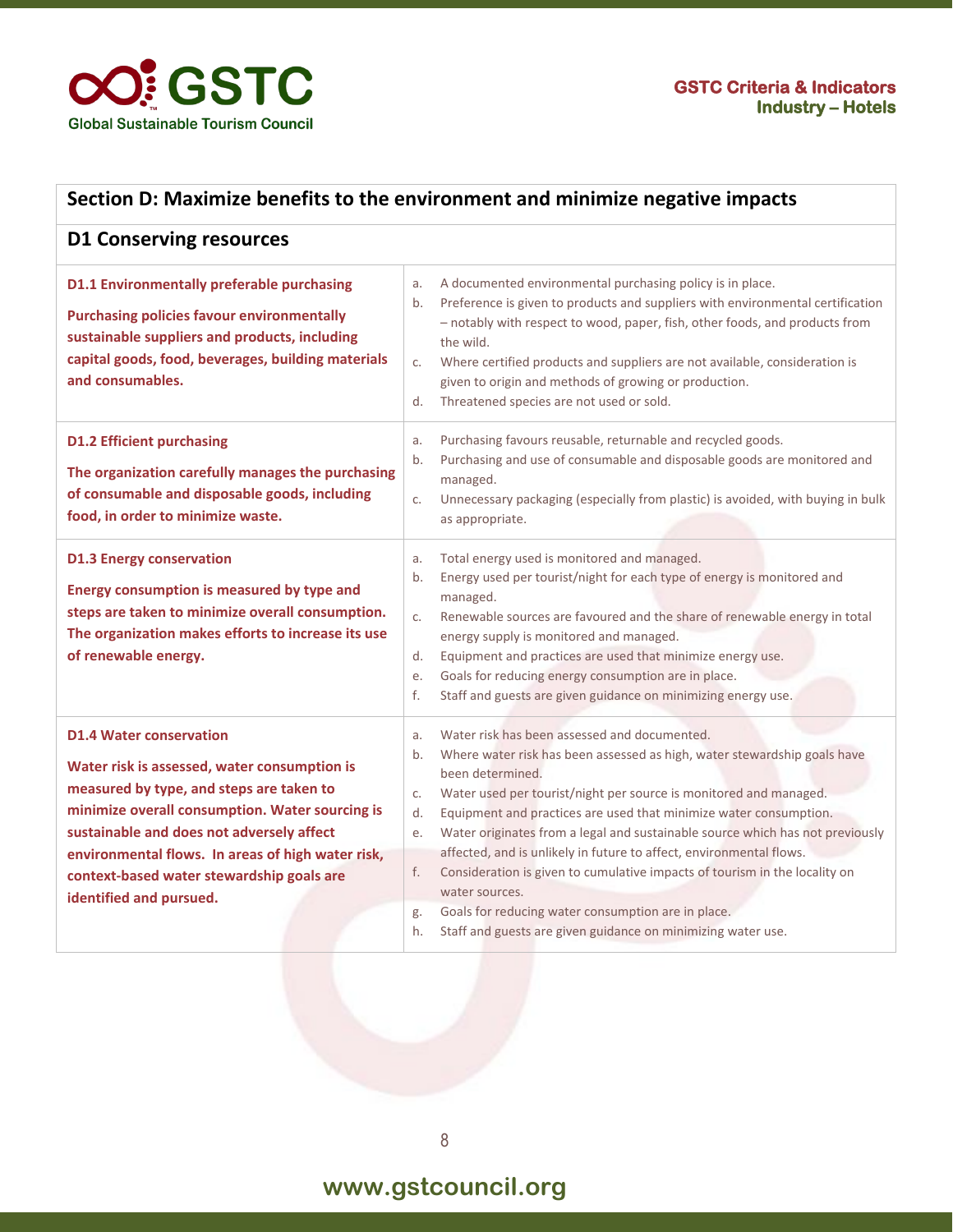

| Section D: Maximize benefits to the environment and minimize negative impacts                                                                                                                                                                                                                                                                           |                                                                                                                                                                                                                                                                                                                                                                                                                                                                                                                                                                                                                                                                                                                      |  |
|---------------------------------------------------------------------------------------------------------------------------------------------------------------------------------------------------------------------------------------------------------------------------------------------------------------------------------------------------------|----------------------------------------------------------------------------------------------------------------------------------------------------------------------------------------------------------------------------------------------------------------------------------------------------------------------------------------------------------------------------------------------------------------------------------------------------------------------------------------------------------------------------------------------------------------------------------------------------------------------------------------------------------------------------------------------------------------------|--|
| <b>D1 Conserving resources</b>                                                                                                                                                                                                                                                                                                                          |                                                                                                                                                                                                                                                                                                                                                                                                                                                                                                                                                                                                                                                                                                                      |  |
| <b>D1.1 Environmentally preferable purchasing</b><br><b>Purchasing policies favour environmentally</b><br>sustainable suppliers and products, including<br>capital goods, food, beverages, building materials<br>and consumables.                                                                                                                       | A documented environmental purchasing policy is in place.<br>a.<br>Preference is given to products and suppliers with environmental certification<br>b.<br>- notably with respect to wood, paper, fish, other foods, and products from<br>the wild.<br>Where certified products and suppliers are not available, consideration is<br>c.<br>given to origin and methods of growing or production.<br>Threatened species are not used or sold.<br>d.                                                                                                                                                                                                                                                                   |  |
| <b>D1.2 Efficient purchasing</b><br>The organization carefully manages the purchasing<br>of consumable and disposable goods, including<br>food, in order to minimize waste.                                                                                                                                                                             | Purchasing favours reusable, returnable and recycled goods.<br>a.<br>Purchasing and use of consumable and disposable goods are monitored and<br>b.<br>managed.<br>Unnecessary packaging (especially from plastic) is avoided, with buying in bulk<br>C.<br>as appropriate.                                                                                                                                                                                                                                                                                                                                                                                                                                           |  |
| <b>D1.3 Energy conservation</b><br>Energy consumption is measured by type and<br>steps are taken to minimize overall consumption.<br>The organization makes efforts to increase its use<br>of renewable energy.                                                                                                                                         | Total energy used is monitored and managed.<br>a.<br>Energy used per tourist/night for each type of energy is monitored and<br>b.<br>managed.<br>Renewable sources are favoured and the share of renewable energy in total<br>C.<br>energy supply is monitored and managed.<br>Equipment and practices are used that minimize energy use.<br>d.<br>Goals for reducing energy consumption are in place.<br>е.<br>Staff and guests are given guidance on minimizing energy use.<br>f.                                                                                                                                                                                                                                  |  |
| <b>D1.4 Water conservation</b><br>Water risk is assessed, water consumption is<br>measured by type, and steps are taken to<br>minimize overall consumption. Water sourcing is<br>sustainable and does not adversely affect<br>environmental flows. In areas of high water risk,<br>context-based water stewardship goals are<br>identified and pursued. | Water risk has been assessed and documented.<br>a.<br>Where water risk has been assessed as high, water stewardship goals have<br>b.<br>been determined.<br>Water used per tourist/night per source is monitored and managed.<br>C.<br>Equipment and practices are used that minimize water consumption.<br>d.<br>Water originates from a legal and sustainable source which has not previously<br>e.<br>affected, and is unlikely in future to affect, environmental flows.<br>Consideration is given to cumulative impacts of tourism in the locality on<br>f.<br>water sources.<br>Goals for reducing water consumption are in place.<br>g.<br>Staff and guests are given guidance on minimizing water use.<br>h. |  |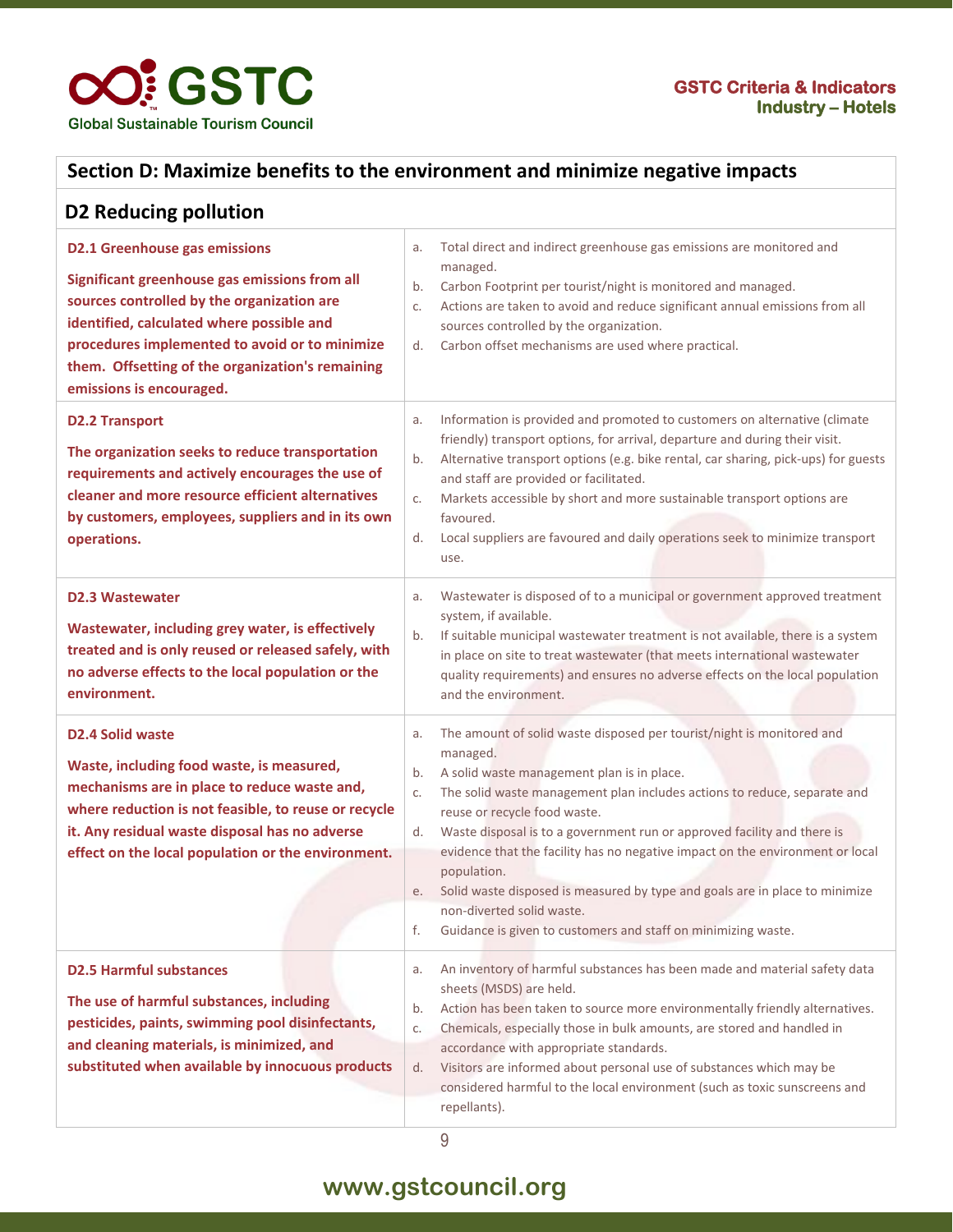

#### **Section D: Maximize benefits to the environment and minimize negative impacts**

| <b>D2 Reducing pollution</b>                                                                                                                                                                                                                                                                                       |                                                                                                                                                                                                                                                                                                                                                                                                                                                                                                                                                                                                                                         |
|--------------------------------------------------------------------------------------------------------------------------------------------------------------------------------------------------------------------------------------------------------------------------------------------------------------------|-----------------------------------------------------------------------------------------------------------------------------------------------------------------------------------------------------------------------------------------------------------------------------------------------------------------------------------------------------------------------------------------------------------------------------------------------------------------------------------------------------------------------------------------------------------------------------------------------------------------------------------------|
| <b>D2.1 Greenhouse gas emissions</b><br>Significant greenhouse gas emissions from all<br>sources controlled by the organization are<br>identified, calculated where possible and<br>procedures implemented to avoid or to minimize<br>them. Offsetting of the organization's remaining<br>emissions is encouraged. | Total direct and indirect greenhouse gas emissions are monitored and<br>a.<br>managed.<br>Carbon Footprint per tourist/night is monitored and managed.<br>b.<br>Actions are taken to avoid and reduce significant annual emissions from all<br>C.<br>sources controlled by the organization.<br>Carbon offset mechanisms are used where practical.<br>d.                                                                                                                                                                                                                                                                                |
| <b>D2.2 Transport</b><br>The organization seeks to reduce transportation<br>requirements and actively encourages the use of<br>cleaner and more resource efficient alternatives<br>by customers, employees, suppliers and in its own<br>operations.                                                                | Information is provided and promoted to customers on alternative (climate<br>а.<br>friendly) transport options, for arrival, departure and during their visit.<br>Alternative transport options (e.g. bike rental, car sharing, pick-ups) for guests<br>b.<br>and staff are provided or facilitated.<br>Markets accessible by short and more sustainable transport options are<br>C.<br>favoured.<br>Local suppliers are favoured and daily operations seek to minimize transport<br>d.<br>use.                                                                                                                                         |
| <b>D2.3 Wastewater</b><br>Wastewater, including grey water, is effectively<br>treated and is only reused or released safely, with<br>no adverse effects to the local population or the<br>environment.                                                                                                             | Wastewater is disposed of to a municipal or government approved treatment<br>a.<br>system, if available.<br>If suitable municipal wastewater treatment is not available, there is a system<br>b.<br>in place on site to treat wastewater (that meets international wastewater<br>quality requirements) and ensures no adverse effects on the local population<br>and the environment.                                                                                                                                                                                                                                                   |
| <b>D2.4 Solid waste</b><br>Waste, including food waste, is measured,<br>mechanisms are in place to reduce waste and,<br>where reduction is not feasible, to reuse or recycle<br>it. Any residual waste disposal has no adverse<br>effect on the local population or the environment.                               | The amount of solid waste disposed per tourist/night is monitored and<br>a.<br>managed.<br>A solid waste management plan is in place.<br>b.<br>The solid waste management plan includes actions to reduce, separate and<br>C.<br>reuse or recycle food waste.<br>Waste disposal is to a government run or approved facility and there is<br>d.<br>evidence that the facility has no negative impact on the environment or local<br>population.<br>Solid waste disposed is measured by type and goals are in place to minimize<br>e.<br>non-diverted solid waste.<br>f.<br>Guidance is given to customers and staff on minimizing waste. |
| <b>D2.5 Harmful substances</b><br>The use of harmful substances, including<br>pesticides, paints, swimming pool disinfectants,<br>and cleaning materials, is minimized, and<br>substituted when available by innocuous products                                                                                    | An inventory of harmful substances has been made and material safety data<br>a.<br>sheets (MSDS) are held.<br>Action has been taken to source more environmentally friendly alternatives.<br>b.<br>Chemicals, especially those in bulk amounts, are stored and handled in<br>C.<br>accordance with appropriate standards.<br>Visitors are informed about personal use of substances which may be<br>d.<br>considered harmful to the local environment (such as toxic sunscreens and<br>repellants).                                                                                                                                     |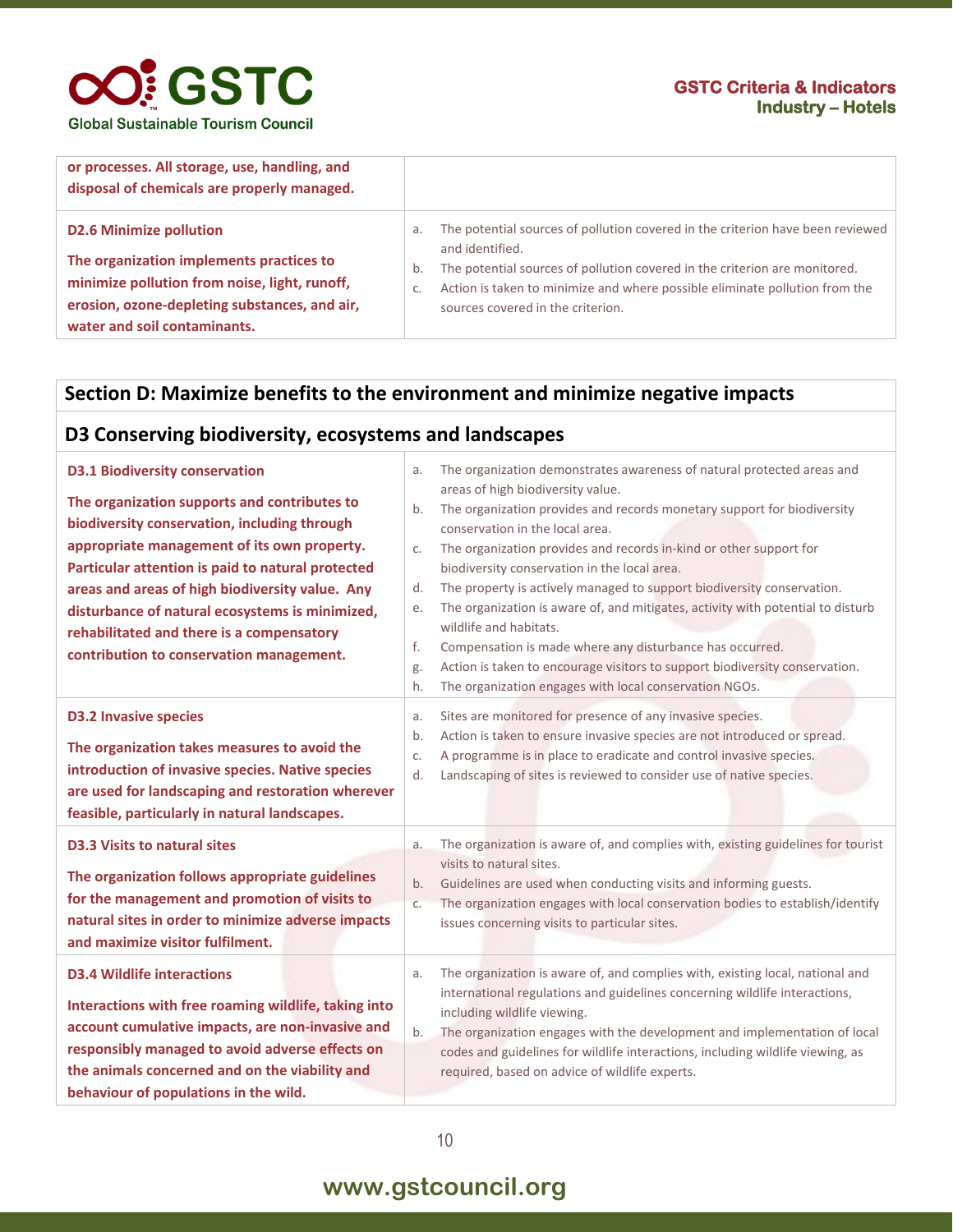### **OO!** GSTC **Global Sustainable Tourism Council**

#### **GSTC Criteria & Indicators Industry – Hotels**

| or processes. All storage, use, handling, and<br>disposal of chemicals are properly managed. |                                                                                                                                                                 |
|----------------------------------------------------------------------------------------------|-----------------------------------------------------------------------------------------------------------------------------------------------------------------|
| <b>D2.6 Minimize pollution</b><br>The organization implements practices to                   | The potential sources of pollution covered in the criterion have been reviewed<br>and identified.                                                               |
| minimize pollution from noise, light, runoff,                                                | The potential sources of pollution covered in the criterion are monitored.<br>b.<br>Action is taken to minimize and where possible eliminate pollution from the |
| erosion, ozone-depleting substances, and air,<br>water and soil contaminants.                | sources covered in the criterion.                                                                                                                               |

#### **Section D: Maximize benefits to the environment and minimize negative impacts**

#### **D3 Conserving biodiversity, ecosystems and landscapes**

| <b>D3.1 Biodiversity conservation</b><br>The organization supports and contributes to<br>biodiversity conservation, including through<br>appropriate management of its own property.<br>Particular attention is paid to natural protected<br>areas and areas of high biodiversity value. Any<br>disturbance of natural ecosystems is minimized,<br>rehabilitated and there is a compensatory<br>contribution to conservation management. | a.<br>b.<br>C.<br>d.<br>e.<br>f.<br>g.<br>h. | The organization demonstrates awareness of natural protected areas and<br>areas of high biodiversity value.<br>The organization provides and records monetary support for biodiversity<br>conservation in the local area.<br>The organization provides and records in-kind or other support for<br>biodiversity conservation in the local area.<br>The property is actively managed to support biodiversity conservation.<br>The organization is aware of, and mitigates, activity with potential to disturb<br>wildlife and habitats.<br>Compensation is made where any disturbance has occurred.<br>Action is taken to encourage visitors to support biodiversity conservation.<br>The organization engages with local conservation NGOs. |
|------------------------------------------------------------------------------------------------------------------------------------------------------------------------------------------------------------------------------------------------------------------------------------------------------------------------------------------------------------------------------------------------------------------------------------------|----------------------------------------------|---------------------------------------------------------------------------------------------------------------------------------------------------------------------------------------------------------------------------------------------------------------------------------------------------------------------------------------------------------------------------------------------------------------------------------------------------------------------------------------------------------------------------------------------------------------------------------------------------------------------------------------------------------------------------------------------------------------------------------------------|
| <b>D3.2 Invasive species</b><br>The organization takes measures to avoid the<br>introduction of invasive species. Native species<br>are used for landscaping and restoration wherever<br>feasible, particularly in natural landscapes.                                                                                                                                                                                                   | a.<br>b.<br>C.<br>d.                         | Sites are monitored for presence of any invasive species.<br>Action is taken to ensure invasive species are not introduced or spread.<br>A programme is in place to eradicate and control invasive species.<br>Landscaping of sites is reviewed to consider use of native species.                                                                                                                                                                                                                                                                                                                                                                                                                                                          |
| <b>D3.3 Visits to natural sites</b><br>The organization follows appropriate guidelines<br>for the management and promotion of visits to<br>natural sites in order to minimize adverse impacts<br>and maximize visitor fulfilment.                                                                                                                                                                                                        | a.<br>b.<br>c.                               | The organization is aware of, and complies with, existing guidelines for tourist<br>visits to natural sites.<br>Guidelines are used when conducting visits and informing guests.<br>The organization engages with local conservation bodies to establish/identify<br>issues concerning visits to particular sites.                                                                                                                                                                                                                                                                                                                                                                                                                          |
| <b>D3.4 Wildlife interactions</b><br>Interactions with free roaming wildlife, taking into<br>account cumulative impacts, are non-invasive and<br>responsibly managed to avoid adverse effects on<br>the animals concerned and on the viability and<br>behaviour of populations in the wild.                                                                                                                                              | a.<br>b.                                     | The organization is aware of, and complies with, existing local, national and<br>international regulations and guidelines concerning wildlife interactions,<br>including wildlife viewing.<br>The organization engages with the development and implementation of local<br>codes and guidelines for wildlife interactions, including wildlife viewing, as<br>required, based on advice of wildlife experts.                                                                                                                                                                                                                                                                                                                                 |